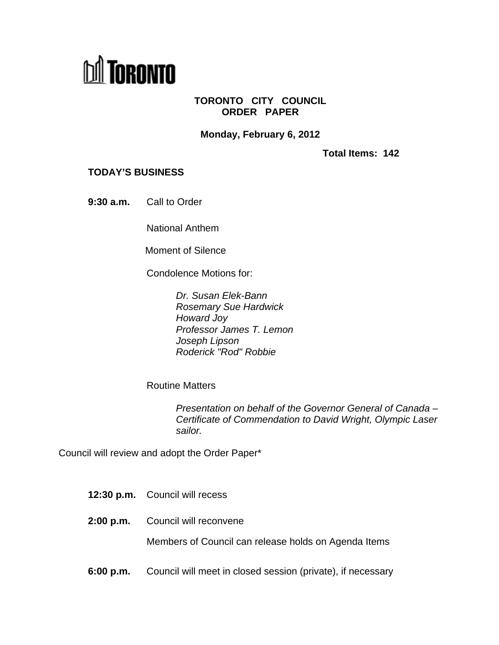

## **TORONTO CITY COUNCIL ORDER PAPER**

**Monday, February 6, 2012**

**Total Items: 142**

## **TODAY'S BUSINESS**

**9:30 a.m.** Call to Order

National Anthem

Moment of Silence **Moment** of Silence

Condolence Motions for:

Dr. Susan Elek-Bann Rosemary Sue Hardwick Howard Joy Professor James T. Lemon Joseph Lipson Roderick "Rod" Robbie

Routine Matters **Executive Service Service Service Service Service Service Service Service Service Service Service Service Service Service Service Service Service Service Service Service Service Service Service Service Ser** 

Presentation on behalf of the Governor General of Canada – Certificate of Commendation to David Wright, Olympic Laser sailor. Ann an t-an-sailor ann an t-an-sail an t-an-sail ann an t-an-sail an t-an-sail an t-an-sail an t-an-sa

Council will review and adopt the Order Paper\*

- **12:30 p.m.** Council will recess
- **2:00 p.m.** Council will reconvene

Members of Council can release holds on Agenda Items

**6:00 p.m.** Council will meet in closed session (private), if necessary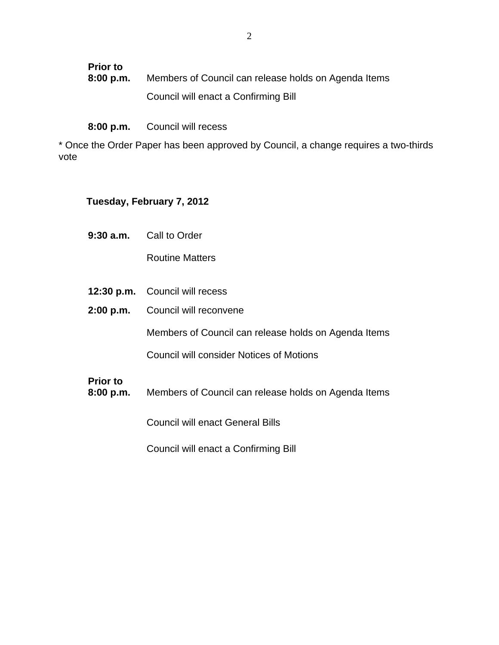| <b>Prior to</b><br>8:00 p.m. | Members of Council can release holds on Agenda Items |
|------------------------------|------------------------------------------------------|
|                              | I enact a Confirming Bill<br>Council will.           |

**8:00 p.m.** Council will recess

\* Once the Order Paper has been approved by Council, a change requires a two-thirds vote and the state of the state of the state of the state of the state of the state of the state of the state o

## **Tuesday, February 7, 2012**

**9:30 a.m.** Call to Order

Routine Matters **Executive Service Service Service Service Service Service Service Service Service Service Service Service Service Service Service Service Service Service Service Service Service Service Service Service Ser** 

- **12:30 p.m.** Council will recess
- **2:00 p.m.** Council will reconvene

Members of Council can release holds on Agenda Items

Council will consider Notices of Motions

## **Prior to**

**8:00 p.m.** Members of Council can release holds on Agenda Items

Council will enact General Bills

Council will enact a Confirming Bill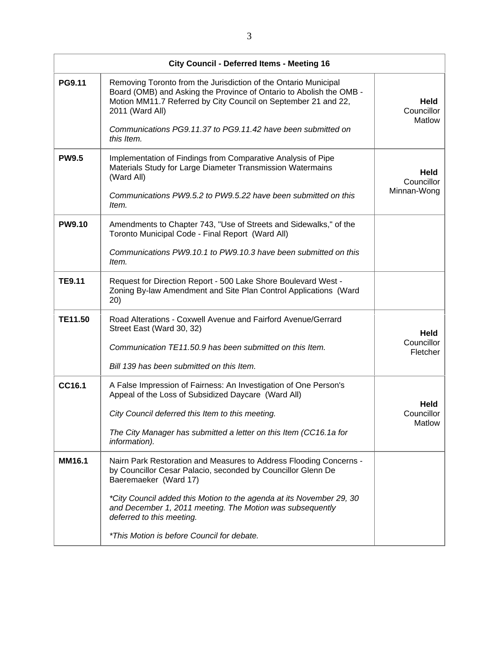|                | City Council - Deferred Items - Meeting 16                                                                                                                                                                                  |                                     |
|----------------|-----------------------------------------------------------------------------------------------------------------------------------------------------------------------------------------------------------------------------|-------------------------------------|
| <b>PG9.11</b>  | Removing Toronto from the Jurisdiction of the Ontario Municipal<br>Board (OMB) and Asking the Province of Ontario to Abolish the OMB -<br>Motion MM11.7 Referred by City Council on September 21 and 22,<br>2011 (Ward All) | Held<br>Councillor<br>Matlow        |
|                | Communications PG9.11.37 to PG9.11.42 have been submitted on<br>this Item.                                                                                                                                                  |                                     |
| <b>PW9.5</b>   | Implementation of Findings from Comparative Analysis of Pipe<br>Materials Study for Large Diameter Transmission Watermains<br>(Ward All)                                                                                    | Held<br>Councillor                  |
|                | Communications PW9.5.2 to PW9.5.22 have been submitted on this<br>Item.                                                                                                                                                     | Minnan-Wong                         |
| <b>PW9.10</b>  | Amendments to Chapter 743, "Use of Streets and Sidewalks," of the<br>Toronto Municipal Code - Final Report (Ward All)                                                                                                       |                                     |
|                | Communications PW9.10.1 to PW9.10.3 have been submitted on this<br>Item.                                                                                                                                                    |                                     |
| <b>TE9.11</b>  | Request for Direction Report - 500 Lake Shore Boulevard West -<br>Zoning By-law Amendment and Site Plan Control Applications (Ward<br>20)                                                                                   |                                     |
| <b>TE11.50</b> | Road Alterations - Coxwell Avenue and Fairford Avenue/Gerrard<br>Street East (Ward 30, 32)                                                                                                                                  | Held<br>Councillor                  |
|                | Communication TE11.50.9 has been submitted on this Item.<br>Bill 139 has been submitted on this Item.                                                                                                                       | Fletcher                            |
| CC16.1         | A False Impression of Fairness: An Investigation of One Person's<br>Appeal of the Loss of Subsidized Daycare (Ward All)                                                                                                     |                                     |
|                | City Council deferred this Item to this meeting.                                                                                                                                                                            | <b>Held</b><br>Councillor<br>Matlow |
|                | The City Manager has submitted a letter on this Item (CC16.1a for<br>information).                                                                                                                                          |                                     |
| <b>MM16.1</b>  | Nairn Park Restoration and Measures to Address Flooding Concerns -<br>by Councillor Cesar Palacio, seconded by Councillor Glenn De<br>Baeremaeker (Ward 17)                                                                 |                                     |
|                | *City Council added this Motion to the agenda at its November 29, 30<br>and December 1, 2011 meeting. The Motion was subsequently<br>deferred to this meeting.                                                              |                                     |
|                | *This Motion is before Council for debate.                                                                                                                                                                                  |                                     |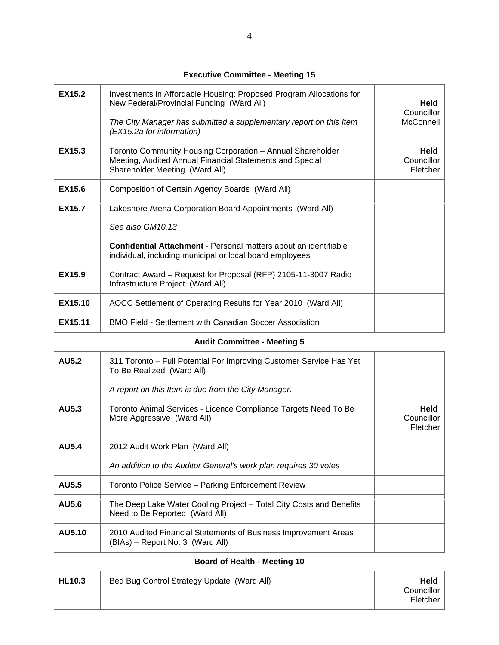|                | <b>Executive Committee - Meeting 15</b>                                                                                                                  |                                |
|----------------|----------------------------------------------------------------------------------------------------------------------------------------------------------|--------------------------------|
| <b>EX15.2</b>  | Investments in Affordable Housing: Proposed Program Allocations for<br>New Federal/Provincial Funding (Ward All)                                         | Held<br>Councillor             |
|                | The City Manager has submitted a supplementary report on this Item<br>(EX15.2a for information)                                                          | McConnell                      |
| <b>EX15.3</b>  | Toronto Community Housing Corporation - Annual Shareholder<br>Meeting, Audited Annual Financial Statements and Special<br>Shareholder Meeting (Ward All) | Held<br>Councillor<br>Fletcher |
| <b>EX15.6</b>  | Composition of Certain Agency Boards (Ward All)                                                                                                          |                                |
| <b>EX15.7</b>  | Lakeshore Arena Corporation Board Appointments (Ward All)                                                                                                |                                |
|                | See also GM10.13                                                                                                                                         |                                |
|                | Confidential Attachment - Personal matters about an identifiable<br>individual, including municipal or local board employees                             |                                |
| <b>EX15.9</b>  | Contract Award - Request for Proposal (RFP) 2105-11-3007 Radio<br>Infrastructure Project (Ward All)                                                      |                                |
| EX15.10        | AOCC Settlement of Operating Results for Year 2010 (Ward All)                                                                                            |                                |
| <b>EX15.11</b> | BMO Field - Settlement with Canadian Soccer Association                                                                                                  |                                |
|                | <b>Audit Committee - Meeting 5</b>                                                                                                                       |                                |
| <b>AU5.2</b>   | 311 Toronto - Full Potential For Improving Customer Service Has Yet<br>To Be Realized (Ward All)                                                         |                                |
|                | A report on this Item is due from the City Manager.                                                                                                      |                                |
| AU5.3          | Toronto Animal Services - Licence Compliance Targets Need To Be<br>More Aggressive (Ward All)                                                            | Held<br>Councillor<br>Fletcher |
| <b>AU5.4</b>   | 2012 Audit Work Plan (Ward All)                                                                                                                          |                                |
|                | An addition to the Auditor General's work plan requires 30 votes                                                                                         |                                |
| <b>AU5.5</b>   | Toronto Police Service - Parking Enforcement Review                                                                                                      |                                |
| <b>AU5.6</b>   | The Deep Lake Water Cooling Project - Total City Costs and Benefits<br>Need to Be Reported (Ward All)                                                    |                                |
| <b>AU5.10</b>  | 2010 Audited Financial Statements of Business Improvement Areas<br>(BIAs) – Report No. 3 (Ward All)                                                      |                                |
|                | <b>Board of Health - Meeting 10</b>                                                                                                                      |                                |
| <b>HL10.3</b>  | Bed Bug Control Strategy Update (Ward All)                                                                                                               | Held<br>Councillor<br>Fletcher |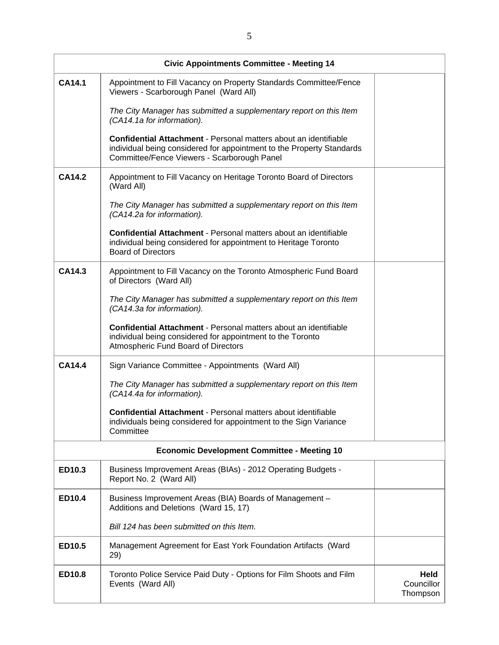|               | <b>Civic Appointments Committee - Meeting 14</b>                                                                                                                                         |                                |
|---------------|------------------------------------------------------------------------------------------------------------------------------------------------------------------------------------------|--------------------------------|
| <b>CA14.1</b> | Appointment to Fill Vacancy on Property Standards Committee/Fence<br>Viewers - Scarborough Panel (Ward All)                                                                              |                                |
|               | The City Manager has submitted a supplementary report on this Item<br>(CA14.1a for information).                                                                                         |                                |
|               | Confidential Attachment - Personal matters about an identifiable<br>individual being considered for appointment to the Property Standards<br>Committee/Fence Viewers - Scarborough Panel |                                |
| <b>CA14.2</b> | Appointment to Fill Vacancy on Heritage Toronto Board of Directors<br>(Ward All)                                                                                                         |                                |
|               | The City Manager has submitted a supplementary report on this Item<br>(CA14.2a for information).                                                                                         |                                |
|               | Confidential Attachment - Personal matters about an identifiable<br>individual being considered for appointment to Heritage Toronto<br><b>Board of Directors</b>                         |                                |
| <b>CA14.3</b> | Appointment to Fill Vacancy on the Toronto Atmospheric Fund Board<br>of Directors (Ward All)                                                                                             |                                |
|               | The City Manager has submitted a supplementary report on this Item<br>(CA14.3a for information).                                                                                         |                                |
|               | Confidential Attachment - Personal matters about an identifiable<br>individual being considered for appointment to the Toronto<br>Atmospheric Fund Board of Directors                    |                                |
| <b>CA14.4</b> | Sign Variance Committee - Appointments (Ward All)                                                                                                                                        |                                |
|               | The City Manager has submitted a supplementary report on this Item<br>(CA14.4a for information).                                                                                         |                                |
|               | Confidential Attachment - Personal matters about identifiable<br>individuals being considered for appointment to the Sign Variance<br>Committee                                          |                                |
|               | <b>Economic Development Committee - Meeting 10</b>                                                                                                                                       |                                |
| <b>ED10.3</b> | Business Improvement Areas (BIAs) - 2012 Operating Budgets -<br>Report No. 2 (Ward All)                                                                                                  |                                |
| <b>ED10.4</b> | Business Improvement Areas (BIA) Boards of Management -<br>Additions and Deletions (Ward 15, 17)                                                                                         |                                |
|               | Bill 124 has been submitted on this Item.                                                                                                                                                |                                |
| <b>ED10.5</b> | Management Agreement for East York Foundation Artifacts (Ward<br>29)                                                                                                                     |                                |
| ED10.8        | Toronto Police Service Paid Duty - Options for Film Shoots and Film<br>Events (Ward All)                                                                                                 | Held<br>Councillor<br>Thompson |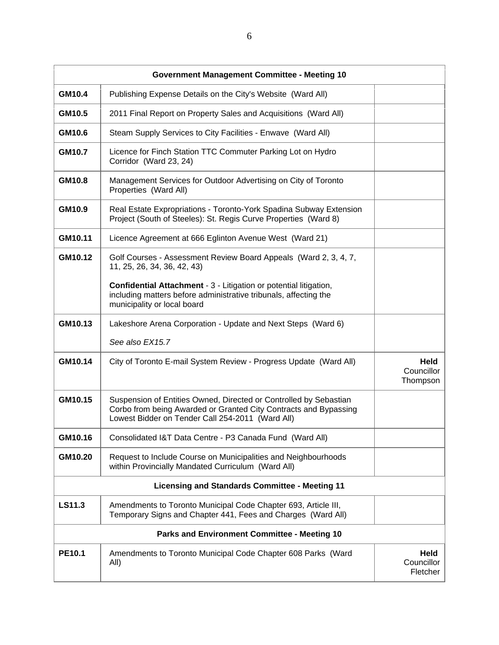|               | <b>Government Management Committee - Meeting 10</b>                                                                                                                                       |                                |
|---------------|-------------------------------------------------------------------------------------------------------------------------------------------------------------------------------------------|--------------------------------|
| <b>GM10.4</b> | Publishing Expense Details on the City's Website (Ward All)                                                                                                                               |                                |
| GM10.5        | 2011 Final Report on Property Sales and Acquisitions (Ward All)                                                                                                                           |                                |
| GM10.6        | Steam Supply Services to City Facilities - Enwave (Ward All)                                                                                                                              |                                |
| <b>GM10.7</b> | Licence for Finch Station TTC Commuter Parking Lot on Hydro<br>Corridor (Ward 23, 24)                                                                                                     |                                |
| <b>GM10.8</b> | Management Services for Outdoor Advertising on City of Toronto<br>Properties (Ward All)                                                                                                   |                                |
| GM10.9        | Real Estate Expropriations - Toronto-York Spadina Subway Extension<br>Project (South of Steeles): St. Regis Curve Properties (Ward 8)                                                     |                                |
| GM10.11       | Licence Agreement at 666 Eglinton Avenue West (Ward 21)                                                                                                                                   |                                |
| GM10.12       | Golf Courses - Assessment Review Board Appeals (Ward 2, 3, 4, 7,<br>11, 25, 26, 34, 36, 42, 43)                                                                                           |                                |
|               | Confidential Attachment - 3 - Litigation or potential litigation,<br>including matters before administrative tribunals, affecting the<br>municipality or local board                      |                                |
| GM10.13       | Lakeshore Arena Corporation - Update and Next Steps (Ward 6)                                                                                                                              |                                |
|               | See also EX15.7                                                                                                                                                                           |                                |
| GM10.14       | City of Toronto E-mail System Review - Progress Update (Ward All)                                                                                                                         | Held<br>Councillor<br>Thompson |
| GM10.15       | Suspension of Entities Owned, Directed or Controlled by Sebastian<br>Corbo from being Awarded or Granted City Contracts and Bypassing<br>Lowest Bidder on Tender Call 254-2011 (Ward All) |                                |
| GM10.16       | Consolidated I&T Data Centre - P3 Canada Fund (Ward All)                                                                                                                                  |                                |
| GM10.20       | Request to Include Course on Municipalities and Neighbourhoods<br>within Provincially Mandated Curriculum (Ward All)                                                                      |                                |
|               | <b>Licensing and Standards Committee - Meeting 11</b>                                                                                                                                     |                                |
| <b>LS11.3</b> | Amendments to Toronto Municipal Code Chapter 693, Article III,<br>Temporary Signs and Chapter 441, Fees and Charges (Ward All)                                                            |                                |
|               | <b>Parks and Environment Committee - Meeting 10</b>                                                                                                                                       |                                |
| <b>PE10.1</b> | Amendments to Toronto Municipal Code Chapter 608 Parks (Ward<br>All)                                                                                                                      | Held<br>Councillor<br>Fletcher |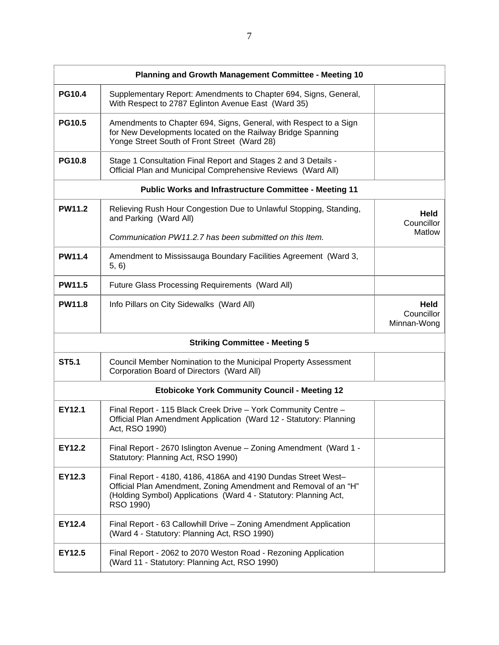|               | Planning and Growth Management Committee - Meeting 10                                                                                                                                                             |                                   |
|---------------|-------------------------------------------------------------------------------------------------------------------------------------------------------------------------------------------------------------------|-----------------------------------|
| <b>PG10.4</b> | Supplementary Report: Amendments to Chapter 694, Signs, General,<br>With Respect to 2787 Eglinton Avenue East (Ward 35)                                                                                           |                                   |
| <b>PG10.5</b> | Amendments to Chapter 694, Signs, General, with Respect to a Sign<br>for New Developments located on the Railway Bridge Spanning<br>Yonge Street South of Front Street (Ward 28)                                  |                                   |
| <b>PG10.8</b> | Stage 1 Consultation Final Report and Stages 2 and 3 Details -<br>Official Plan and Municipal Comprehensive Reviews (Ward All)                                                                                    |                                   |
|               | <b>Public Works and Infrastructure Committee - Meeting 11</b>                                                                                                                                                     |                                   |
| <b>PW11.2</b> | Relieving Rush Hour Congestion Due to Unlawful Stopping, Standing,<br>and Parking (Ward All)                                                                                                                      | Held<br>Councillor                |
|               | Communication PW11.2.7 has been submitted on this Item.                                                                                                                                                           | Matlow                            |
| <b>PW11.4</b> | Amendment to Mississauga Boundary Facilities Agreement (Ward 3,<br>5, 6)                                                                                                                                          |                                   |
| <b>PW11.5</b> | Future Glass Processing Requirements (Ward All)                                                                                                                                                                   |                                   |
| <b>PW11.8</b> | Info Pillars on City Sidewalks (Ward All)                                                                                                                                                                         | Held<br>Councillor<br>Minnan-Wong |
|               | <b>Striking Committee - Meeting 5</b>                                                                                                                                                                             |                                   |
| <b>ST5.1</b>  | Council Member Nomination to the Municipal Property Assessment<br>Corporation Board of Directors (Ward All)                                                                                                       |                                   |
|               | <b>Etobicoke York Community Council - Meeting 12</b>                                                                                                                                                              |                                   |
| <b>EY12.1</b> | Final Report - 115 Black Creek Drive - York Community Centre -<br>Official Plan Amendment Application (Ward 12 - Statutory: Planning<br>Act, RSO 1990)                                                            |                                   |
| <b>EY12.2</b> | Final Report - 2670 Islington Avenue - Zoning Amendment (Ward 1 -<br>Statutory: Planning Act, RSO 1990)                                                                                                           |                                   |
| EY12.3        | Final Report - 4180, 4186, 4186A and 4190 Dundas Street West-<br>Official Plan Amendment, Zoning Amendment and Removal of an "H"<br>(Holding Symbol) Applications (Ward 4 - Statutory: Planning Act,<br>RSO 1990) |                                   |
| EY12.4        | Final Report - 63 Callowhill Drive - Zoning Amendment Application<br>(Ward 4 - Statutory: Planning Act, RSO 1990)                                                                                                 |                                   |
| <b>EY12.5</b> | Final Report - 2062 to 2070 Weston Road - Rezoning Application<br>(Ward 11 - Statutory: Planning Act, RSO 1990)                                                                                                   |                                   |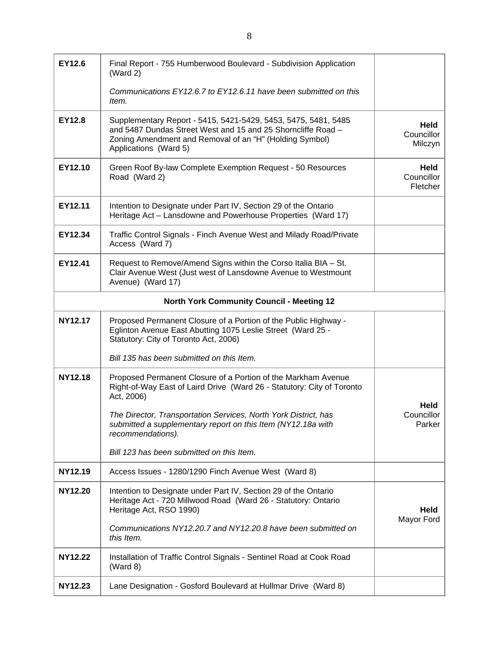| EY12.6         | Final Report - 755 Humberwood Boulevard - Subdivision Application<br>(Ward 2)                                                                                                                                      |                                |
|----------------|--------------------------------------------------------------------------------------------------------------------------------------------------------------------------------------------------------------------|--------------------------------|
|                | Communications EY12.6.7 to EY12.6.11 have been submitted on this<br>Item.                                                                                                                                          |                                |
| EY12.8         | Supplementary Report - 5415, 5421-5429, 5453, 5475, 5481, 5485<br>and 5487 Dundas Street West and 15 and 25 Shorncliffe Road -<br>Zoning Amendment and Removal of an "H" (Holding Symbol)<br>Applications (Ward 5) | Held<br>Councillor<br>Milczyn  |
| EY12.10        | Green Roof By-law Complete Exemption Request - 50 Resources<br>Road (Ward 2)                                                                                                                                       | Held<br>Councillor<br>Fletcher |
| EY12.11        | Intention to Designate under Part IV, Section 29 of the Ontario<br>Heritage Act - Lansdowne and Powerhouse Properties (Ward 17)                                                                                    |                                |
| EY12.34        | Traffic Control Signals - Finch Avenue West and Milady Road/Private<br>Access (Ward 7)                                                                                                                             |                                |
| EY12.41        | Request to Remove/Amend Signs within the Corso Italia BIA - St.<br>Clair Avenue West (Just west of Lansdowne Avenue to Westmount<br>Avenue) (Ward 17)                                                              |                                |
|                | <b>North York Community Council - Meeting 12</b>                                                                                                                                                                   |                                |
| <b>NY12.17</b> | Proposed Permanent Closure of a Portion of the Public Highway -<br>Eglinton Avenue East Abutting 1075 Leslie Street (Ward 25 -<br>Statutory: City of Toronto Act, 2006)                                            |                                |
|                | Bill 135 has been submitted on this Item.                                                                                                                                                                          |                                |
| <b>NY12.18</b> | Proposed Permanent Closure of a Portion of the Markham Avenue<br>Right-of-Way East of Laird Drive (Ward 26 - Statutory: City of Toronto<br>Act, 2006)                                                              | Held                           |
|                | The Director, Transportation Services, North York District, has<br>submitted a supplementary report on this Item (NY12.18a with<br>recommendations).                                                               | Councillor<br>Parker           |
|                | Bill 123 has been submitted on this Item.                                                                                                                                                                          |                                |
| NY12.19        | Access Issues - 1280/1290 Finch Avenue West (Ward 8)                                                                                                                                                               |                                |
| <b>NY12.20</b> | Intention to Designate under Part IV, Section 29 of the Ontario<br>Heritage Act - 720 Millwood Road (Ward 26 - Statutory: Ontario<br>Heritage Act, RSO 1990)                                                       | Held<br>Mayor Ford             |
|                | Communications NY12.20.7 and NY12.20.8 have been submitted on<br>this Item.                                                                                                                                        |                                |
| <b>NY12.22</b> | Installation of Traffic Control Signals - Sentinel Road at Cook Road<br>(Ward 8)                                                                                                                                   |                                |
| <b>NY12.23</b> | Lane Designation - Gosford Boulevard at Hullmar Drive (Ward 8)                                                                                                                                                     |                                |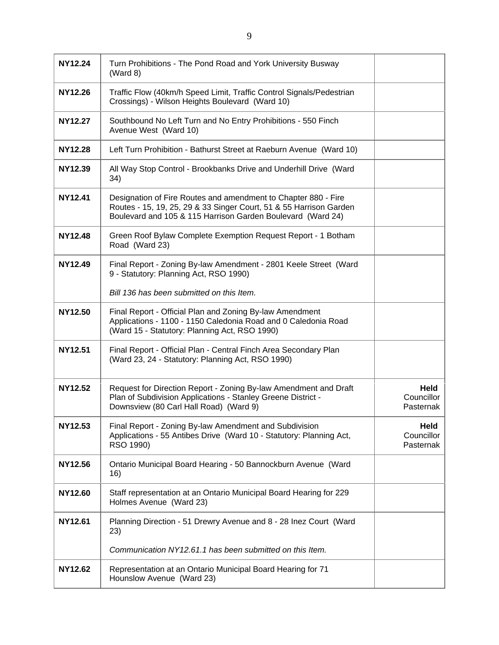| NY12.24        | Turn Prohibitions - The Pond Road and York University Busway<br>(Ward 8)                                                                                                                            |                                 |
|----------------|-----------------------------------------------------------------------------------------------------------------------------------------------------------------------------------------------------|---------------------------------|
| <b>NY12.26</b> | Traffic Flow (40km/h Speed Limit, Traffic Control Signals/Pedestrian<br>Crossings) - Wilson Heights Boulevard (Ward 10)                                                                             |                                 |
| <b>NY12.27</b> | Southbound No Left Turn and No Entry Prohibitions - 550 Finch<br>Avenue West (Ward 10)                                                                                                              |                                 |
| <b>NY12.28</b> | Left Turn Prohibition - Bathurst Street at Raeburn Avenue (Ward 10)                                                                                                                                 |                                 |
| NY12.39        | All Way Stop Control - Brookbanks Drive and Underhill Drive (Ward<br>34)                                                                                                                            |                                 |
| <b>NY12.41</b> | Designation of Fire Routes and amendment to Chapter 880 - Fire<br>Routes - 15, 19, 25, 29 & 33 Singer Court, 51 & 55 Harrison Garden<br>Boulevard and 105 & 115 Harrison Garden Boulevard (Ward 24) |                                 |
| <b>NY12.48</b> | Green Roof Bylaw Complete Exemption Request Report - 1 Botham<br>Road (Ward 23)                                                                                                                     |                                 |
| NY12.49        | Final Report - Zoning By-law Amendment - 2801 Keele Street (Ward<br>9 - Statutory: Planning Act, RSO 1990)                                                                                          |                                 |
|                | Bill 136 has been submitted on this Item.                                                                                                                                                           |                                 |
| <b>NY12.50</b> | Final Report - Official Plan and Zoning By-law Amendment<br>Applications - 1100 - 1150 Caledonia Road and 0 Caledonia Road<br>(Ward 15 - Statutory: Planning Act, RSO 1990)                         |                                 |
| <b>NY12.51</b> | Final Report - Official Plan - Central Finch Area Secondary Plan<br>(Ward 23, 24 - Statutory: Planning Act, RSO 1990)                                                                               |                                 |
| NY12.52        | Request for Direction Report - Zoning By-law Amendment and Draft<br>Plan of Subdivision Applications - Stanley Greene District -<br>Downsview (80 Carl Hall Road) (Ward 9)                          | Held<br>Councillor<br>Pasternak |
| NY12.53        | Final Report - Zoning By-law Amendment and Subdivision<br>Applications - 55 Antibes Drive (Ward 10 - Statutory: Planning Act,<br>RSO 1990)                                                          | Held<br>Councillor<br>Pasternak |
| NY12.56        | Ontario Municipal Board Hearing - 50 Bannockburn Avenue (Ward<br>16)                                                                                                                                |                                 |
| <b>NY12.60</b> | Staff representation at an Ontario Municipal Board Hearing for 229<br>Holmes Avenue (Ward 23)                                                                                                       |                                 |
| NY12.61        | Planning Direction - 51 Drewry Avenue and 8 - 28 Inez Court (Ward<br>23)                                                                                                                            |                                 |
|                | Communication NY12.61.1 has been submitted on this Item.                                                                                                                                            |                                 |
| <b>NY12.62</b> | Representation at an Ontario Municipal Board Hearing for 71<br>Hounslow Avenue (Ward 23)                                                                                                            |                                 |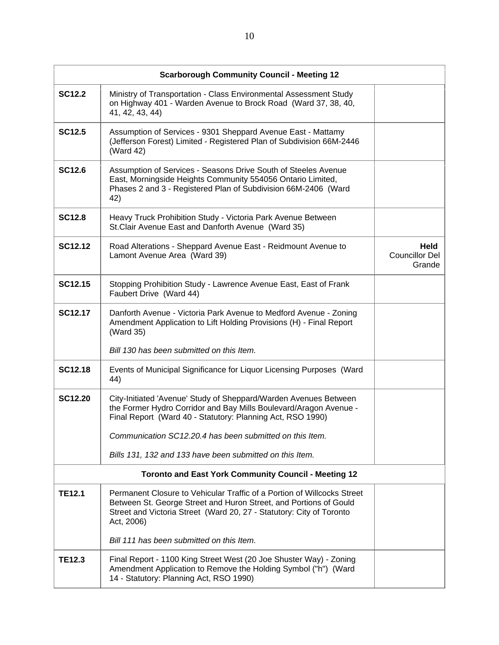|                | <b>Scarborough Community Council - Meeting 12</b>                                                                                                                                                                                  |                                         |
|----------------|------------------------------------------------------------------------------------------------------------------------------------------------------------------------------------------------------------------------------------|-----------------------------------------|
| <b>SC12.2</b>  | Ministry of Transportation - Class Environmental Assessment Study<br>on Highway 401 - Warden Avenue to Brock Road (Ward 37, 38, 40,<br>41, 42, 43, 44)                                                                             |                                         |
| <b>SC12.5</b>  | Assumption of Services - 9301 Sheppard Avenue East - Mattamy<br>(Jefferson Forest) Limited - Registered Plan of Subdivision 66M-2446<br>(Ward 42)                                                                                  |                                         |
| <b>SC12.6</b>  | Assumption of Services - Seasons Drive South of Steeles Avenue<br>East, Morningside Heights Community 554056 Ontario Limited,<br>Phases 2 and 3 - Registered Plan of Subdivision 66M-2406 (Ward<br>42)                             |                                         |
| <b>SC12.8</b>  | Heavy Truck Prohibition Study - Victoria Park Avenue Between<br>St.Clair Avenue East and Danforth Avenue (Ward 35)                                                                                                                 |                                         |
| <b>SC12.12</b> | Road Alterations - Sheppard Avenue East - Reidmount Avenue to<br>Lamont Avenue Area (Ward 39)                                                                                                                                      | Held<br><b>Councillor Del</b><br>Grande |
| <b>SC12.15</b> | Stopping Prohibition Study - Lawrence Avenue East, East of Frank<br>Faubert Drive (Ward 44)                                                                                                                                        |                                         |
| <b>SC12.17</b> | Danforth Avenue - Victoria Park Avenue to Medford Avenue - Zoning<br>Amendment Application to Lift Holding Provisions (H) - Final Report<br>(Ward 35)                                                                              |                                         |
|                | Bill 130 has been submitted on this Item.                                                                                                                                                                                          |                                         |
| <b>SC12.18</b> | Events of Municipal Significance for Liquor Licensing Purposes (Ward<br>44)                                                                                                                                                        |                                         |
| <b>SC12.20</b> | City-Initiated 'Avenue' Study of Sheppard/Warden Avenues Between<br>the Former Hydro Corridor and Bay Mills Boulevard/Aragon Avenue -<br>Final Report (Ward 40 - Statutory: Planning Act, RSO 1990)                                |                                         |
|                | Communication SC12.20.4 has been submitted on this Item.                                                                                                                                                                           |                                         |
|                | Bills 131, 132 and 133 have been submitted on this Item.                                                                                                                                                                           |                                         |
|                | <b>Toronto and East York Community Council - Meeting 12</b>                                                                                                                                                                        |                                         |
| <b>TE12.1</b>  | Permanent Closure to Vehicular Traffic of a Portion of Willcocks Street<br>Between St. George Street and Huron Street, and Portions of Gould<br>Street and Victoria Street (Ward 20, 27 - Statutory: City of Toronto<br>Act, 2006) |                                         |
|                | Bill 111 has been submitted on this Item.                                                                                                                                                                                          |                                         |
| <b>TE12.3</b>  | Final Report - 1100 King Street West (20 Joe Shuster Way) - Zoning<br>Amendment Application to Remove the Holding Symbol ("h") (Ward<br>14 - Statutory: Planning Act, RSO 1990)                                                    |                                         |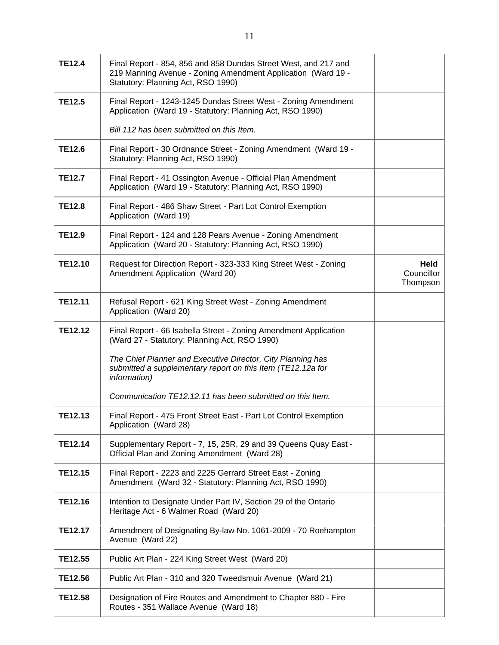| <b>TE12.4</b>  | Final Report - 854, 856 and 858 Dundas Street West, and 217 and<br>219 Manning Avenue - Zoning Amendment Application (Ward 19 -<br>Statutory: Planning Act, RSO 1990) |                                |
|----------------|-----------------------------------------------------------------------------------------------------------------------------------------------------------------------|--------------------------------|
| <b>TE12.5</b>  | Final Report - 1243-1245 Dundas Street West - Zoning Amendment<br>Application (Ward 19 - Statutory: Planning Act, RSO 1990)                                           |                                |
|                | Bill 112 has been submitted on this Item.                                                                                                                             |                                |
| <b>TE12.6</b>  | Final Report - 30 Ordnance Street - Zoning Amendment (Ward 19 -<br>Statutory: Planning Act, RSO 1990)                                                                 |                                |
| <b>TE12.7</b>  | Final Report - 41 Ossington Avenue - Official Plan Amendment<br>Application (Ward 19 - Statutory: Planning Act, RSO 1990)                                             |                                |
| <b>TE12.8</b>  | Final Report - 486 Shaw Street - Part Lot Control Exemption<br>Application (Ward 19)                                                                                  |                                |
| <b>TE12.9</b>  | Final Report - 124 and 128 Pears Avenue - Zoning Amendment<br>Application (Ward 20 - Statutory: Planning Act, RSO 1990)                                               |                                |
| <b>TE12.10</b> | Request for Direction Report - 323-333 King Street West - Zoning<br>Amendment Application (Ward 20)                                                                   | Held<br>Councillor<br>Thompson |
| <b>TE12.11</b> | Refusal Report - 621 King Street West - Zoning Amendment<br>Application (Ward 20)                                                                                     |                                |
| <b>TE12.12</b> | Final Report - 66 Isabella Street - Zoning Amendment Application<br>(Ward 27 - Statutory: Planning Act, RSO 1990)                                                     |                                |
|                | The Chief Planner and Executive Director, City Planning has<br>submitted a supplementary report on this Item (TE12.12a for<br><i>information)</i>                     |                                |
|                | Communication TE12.12.11 has been submitted on this Item.                                                                                                             |                                |
| <b>TE12.13</b> | Final Report - 475 Front Street East - Part Lot Control Exemption<br>Application (Ward 28)                                                                            |                                |
| <b>TE12.14</b> | Supplementary Report - 7, 15, 25R, 29 and 39 Queens Quay East -<br>Official Plan and Zoning Amendment (Ward 28)                                                       |                                |
| <b>TE12.15</b> | Final Report - 2223 and 2225 Gerrard Street East - Zoning<br>Amendment (Ward 32 - Statutory: Planning Act, RSO 1990)                                                  |                                |
| TE12.16        | Intention to Designate Under Part IV, Section 29 of the Ontario<br>Heritage Act - 6 Walmer Road (Ward 20)                                                             |                                |
| <b>TE12.17</b> | Amendment of Designating By-law No. 1061-2009 - 70 Roehampton<br>Avenue (Ward 22)                                                                                     |                                |
| <b>TE12.55</b> | Public Art Plan - 224 King Street West (Ward 20)                                                                                                                      |                                |
| <b>TE12.56</b> | Public Art Plan - 310 and 320 Tweedsmuir Avenue (Ward 21)                                                                                                             |                                |
| <b>TE12.58</b> | Designation of Fire Routes and Amendment to Chapter 880 - Fire<br>Routes - 351 Wallace Avenue (Ward 18)                                                               |                                |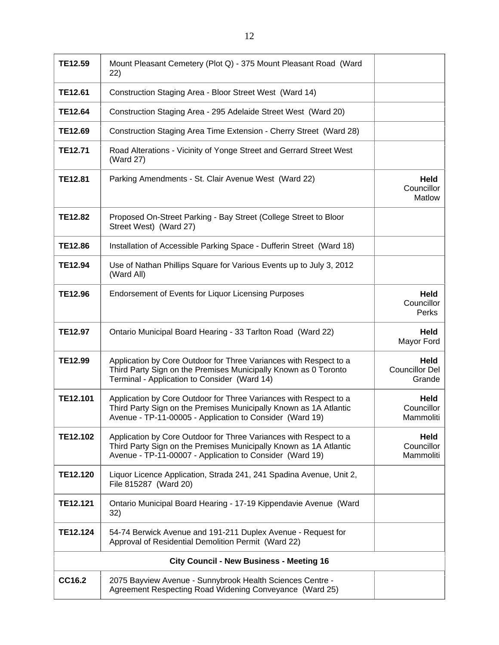| TE12.59         | Mount Pleasant Cemetery (Plot Q) - 375 Mount Pleasant Road (Ward<br>22)                                                                                                                            |                                         |
|-----------------|----------------------------------------------------------------------------------------------------------------------------------------------------------------------------------------------------|-----------------------------------------|
| <b>TE12.61</b>  | Construction Staging Area - Bloor Street West (Ward 14)                                                                                                                                            |                                         |
| <b>TE12.64</b>  | Construction Staging Area - 295 Adelaide Street West (Ward 20)                                                                                                                                     |                                         |
| TE12.69         | Construction Staging Area Time Extension - Cherry Street (Ward 28)                                                                                                                                 |                                         |
| <b>TE12.71</b>  | Road Alterations - Vicinity of Yonge Street and Gerrard Street West<br>(Ward 27)                                                                                                                   |                                         |
| <b>TE12.81</b>  | Parking Amendments - St. Clair Avenue West (Ward 22)                                                                                                                                               | <b>Held</b><br>Councillor<br>Matlow     |
| <b>TE12.82</b>  | Proposed On-Street Parking - Bay Street (College Street to Bloor<br>Street West) (Ward 27)                                                                                                         |                                         |
| <b>TE12.86</b>  | Installation of Accessible Parking Space - Dufferin Street (Ward 18)                                                                                                                               |                                         |
| TE12.94         | Use of Nathan Phillips Square for Various Events up to July 3, 2012<br>(Ward All)                                                                                                                  |                                         |
| <b>TE12.96</b>  | <b>Endorsement of Events for Liquor Licensing Purposes</b>                                                                                                                                         | Held<br>Councillor<br>Perks             |
| <b>TE12.97</b>  | Ontario Municipal Board Hearing - 33 Tarlton Road (Ward 22)                                                                                                                                        | Held<br>Mayor Ford                      |
| TE12.99         | Application by Core Outdoor for Three Variances with Respect to a<br>Third Party Sign on the Premises Municipally Known as 0 Toronto<br>Terminal - Application to Consider (Ward 14)               | Held<br><b>Councillor Del</b><br>Grande |
| TE12.101        | Application by Core Outdoor for Three Variances with Respect to a<br>Third Party Sign on the Premises Municipally Known as 1A Atlantic<br>Avenue - TP-11-00005 - Application to Consider (Ward 19) | Held<br>Councillor<br>Mammoliti         |
| TE12.102        | Application by Core Outdoor for Three Variances with Respect to a<br>Third Party Sign on the Premises Municipally Known as 1A Atlantic<br>Avenue - TP-11-00007 - Application to Consider (Ward 19) | Held<br>Councillor<br>Mammoliti         |
| <b>TE12.120</b> | Liquor Licence Application, Strada 241, 241 Spadina Avenue, Unit 2,<br>File 815287 (Ward 20)                                                                                                       |                                         |
| TE12.121        | Ontario Municipal Board Hearing - 17-19 Kippendavie Avenue (Ward<br>32)                                                                                                                            |                                         |
| TE12.124        | 54-74 Berwick Avenue and 191-211 Duplex Avenue - Request for<br>Approval of Residential Demolition Permit (Ward 22)                                                                                |                                         |
|                 | <b>City Council - New Business - Meeting 16</b>                                                                                                                                                    |                                         |
| CC16.2          | 2075 Bayview Avenue - Sunnybrook Health Sciences Centre -<br>Agreement Respecting Road Widening Conveyance (Ward 25)                                                                               |                                         |